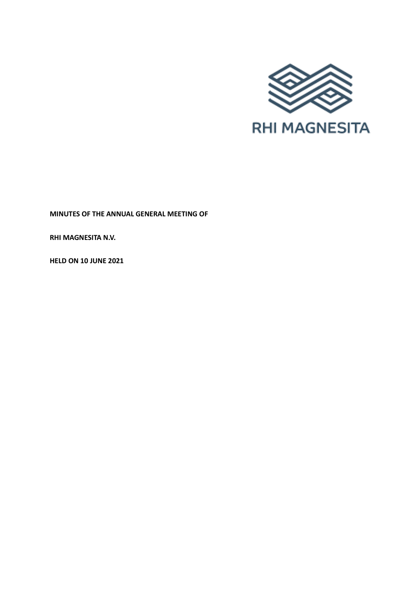

**MINUTES OF THE ANNUAL GENERAL MEETING OF**

**RHI MAGNESITA N.V.**

**HELD ON 10 JUNE 2021**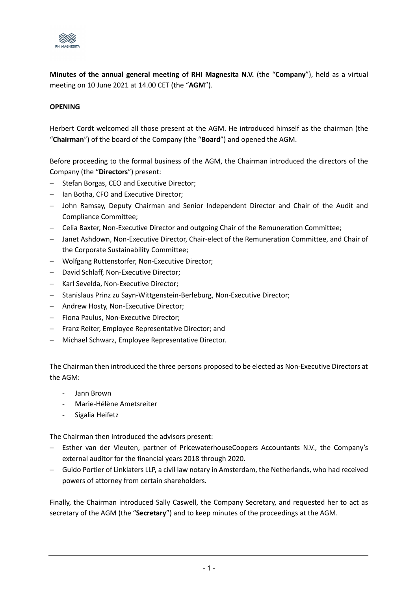

**Minutes of the annual general meeting of RHI Magnesita N.V.** (the "**Company**"), held as a virtual meeting on 10 June 2021 at 14.00 CET (the "**AGM**").

## **OPENING**

Herbert Cordt welcomed all those present at the AGM. He introduced himself as the chairman (the "**Chairman**") of the board of the Company (the "**Board**") and opened the AGM.

Before proceeding to the formal business of the AGM, the Chairman introduced the directors of the Company (the "**Directors**") present:

- − Stefan Borgas, CEO and Executive Director;
- − Ian Botha, CFO and Executive Director;
- − John Ramsay, Deputy Chairman and Senior Independent Director and Chair of the Audit and Compliance Committee;
- − Celia Baxter, Non-Executive Director and outgoing Chair of the Remuneration Committee;
- − Janet Ashdown, Non-Executive Director, Chair-elect of the Remuneration Committee, and Chair of the Corporate Sustainability Committee;
- − Wolfgang Ruttenstorfer, Non-Executive Director;
- − David Schlaff, Non-Executive Director;
- − Karl Sevelda, Non-Executive Director;
- − Stanislaus Prinz zu Sayn-Wittgenstein-Berleburg, Non-Executive Director;
- − Andrew Hosty, Non-Executive Director;
- − Fiona Paulus, Non-Executive Director;
- − Franz Reiter, Employee Representative Director; and
- − Michael Schwarz, Employee Representative Director.

The Chairman then introduced the three persons proposed to be elected as Non-Executive Directors at the AGM:

- Jann Brown
- Marie-Hélène Ametsreiter
- Sigalia Heifetz

The Chairman then introduced the advisors present:

- − Esther van der Vleuten, partner of PricewaterhouseCoopers Accountants N.V., the Company's external auditor for the financial years 2018 through 2020.
- − Guido Portier of Linklaters LLP, a civil law notary in Amsterdam, the Netherlands, who had received powers of attorney from certain shareholders.

Finally, the Chairman introduced Sally Caswell, the Company Secretary, and requested her to act as secretary of the AGM (the "**Secretary**") and to keep minutes of the proceedings at the AGM.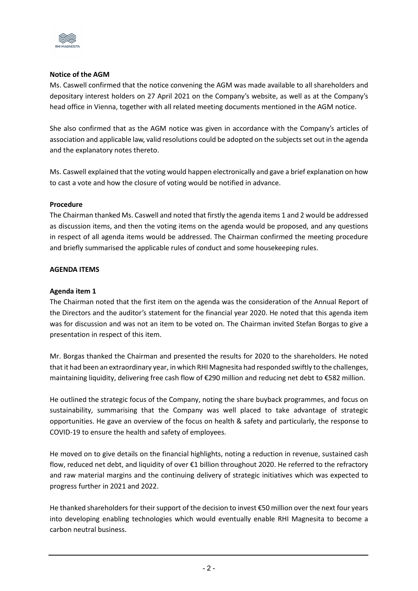

### **Notice of the AGM**

Ms. Caswell confirmed that the notice convening the AGM was made available to all shareholders and depositary interest holders on 27 April 2021 on the Company's website, as well as at the Company's head office in Vienna, together with all related meeting documents mentioned in the AGM notice.

She also confirmed that as the AGM notice was given in accordance with the Company's articles of association and applicable law, valid resolutions could be adopted on the subjects set out in the agenda and the explanatory notes thereto.

Ms. Caswell explained that the voting would happen electronically and gave a brief explanation on how to cast a vote and how the closure of voting would be notified in advance.

#### **Procedure**

The Chairman thanked Ms. Caswell and noted that firstly the agenda items 1 and 2 would be addressed as discussion items, and then the voting items on the agenda would be proposed, and any questions in respect of all agenda items would be addressed. The Chairman confirmed the meeting procedure and briefly summarised the applicable rules of conduct and some housekeeping rules.

## **AGENDA ITEMS**

# **Agenda item 1**

The Chairman noted that the first item on the agenda was the consideration of the Annual Report of the Directors and the auditor's statement for the financial year 2020. He noted that this agenda item was for discussion and was not an item to be voted on. The Chairman invited Stefan Borgas to give a presentation in respect of this item.

Mr. Borgas thanked the Chairman and presented the results for 2020 to the shareholders. He noted that it had been an extraordinary year, in which RHI Magnesita had responded swiftly to the challenges, maintaining liquidity, delivering free cash flow of €290 million and reducing net debt to €582 million.

He outlined the strategic focus of the Company, noting the share buyback programmes, and focus on sustainability, summarising that the Company was well placed to take advantage of strategic opportunities. He gave an overview of the focus on health & safety and particularly, the response to COVID-19 to ensure the health and safety of employees.

He moved on to give details on the financial highlights, noting a reduction in revenue, sustained cash flow, reduced net debt, and liquidity of over €1 billion throughout 2020. He referred to the refractory and raw material margins and the continuing delivery of strategic initiatives which was expected to progress further in 2021 and 2022.

He thanked shareholders for their support of the decision to invest €50 million over the next four years into developing enabling technologies which would eventually enable RHI Magnesita to become a carbon neutral business.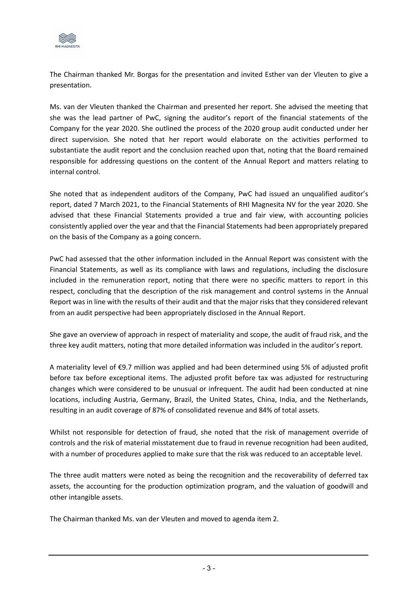

The Chairman thanked Mr. Borgas for the presentation and invited Esther van der Vleuten to give a presentation.

Ms. van der Vleuten thanked the Chairman and presented her report. She advised the meeting that she was the lead partner of PwC, signing the auditor's report of the financial statements of the Company for the year 2020. She outlined the process of the 2020 group audit conducted under her direct supervision. She noted that her report would elaborate on the activities performed to substantiate the audit report and the conclusion reached upon that, noting that the Board remained responsible for addressing questions on the content of the Annual Report and matters relating to internal control.

She noted that as independent auditors of the Company, PwC had issued an unqualified auditor's report, dated 7 March 2021, to the Financial Statements of RHI Magnesita NV for the year 2020. She advised that these Financial Statements provided a true and fair view, with accounting policies consistently applied over the year and that the Financial Statements had been appropriately prepared on the basis of the Company as a going concern.

PwC had assessed that the other information included in the Annual Report was consistent with the Financial Statements, as well as its compliance with laws and regulations, including the disclosure included in the remuneration report, noting that there were no specific matters to report in this respect, concluding that the description of the risk management and control systems in the Annual Report was in line with the results of their audit and that the major risks that they considered relevant from an audit perspective had been appropriately disclosed in the Annual Report.

She gave an overview of approach in respect of materiality and scope, the audit of fraud risk, and the three key audit matters, noting that more detailed information was included in the auditor's report.

A materiality level of €9.7 million was applied and had been determined using 5% of adjusted profit before tax before exceptional items. The adjusted profit before tax was adjusted for restructuring changes which were considered to be unusual or infrequent. The audit had been conducted at nine locations, including Austria, Germany, Brazil, the United States, China, India, and the Netherlands, resulting in an audit coverage of 87% of consolidated revenue and 84% of total assets.

Whilst not responsible for detection of fraud, she noted that the risk of management override of controls and the risk of material misstatement due to fraud in revenue recognition had been audited, with a number of procedures applied to make sure that the risk was reduced to an acceptable level.

The three audit matters were noted as being the recognition and the recoverability of deferred tax assets, the accounting for the production optimization program, and the valuation of goodwill and other intangible assets.

The Chairman thanked Ms. van der Vleuten and moved to agenda item 2.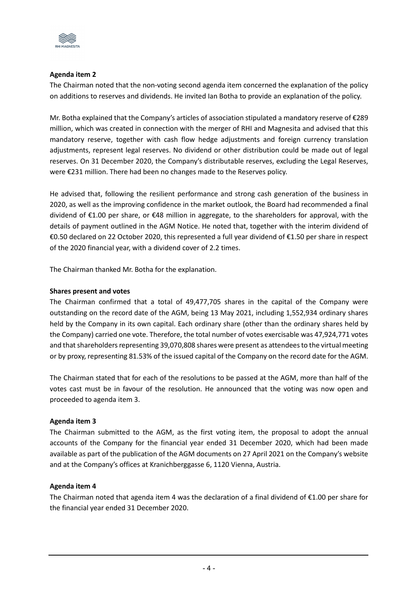

# **Agenda item 2**

The Chairman noted that the non-voting second agenda item concerned the explanation of the policy on additions to reserves and dividends. He invited Ian Botha to provide an explanation of the policy.

Mr. Botha explained that the Company's articles of association stipulated a mandatory reserve of €289 million, which was created in connection with the merger of RHI and Magnesita and advised that this mandatory reserve, together with cash flow hedge adjustments and foreign currency translation adjustments, represent legal reserves. No dividend or other distribution could be made out of legal reserves. On 31 December 2020, the Company's distributable reserves, excluding the Legal Reserves, were €231 million. There had been no changes made to the Reserves policy.

He advised that, following the resilient performance and strong cash generation of the business in 2020, as well as the improving confidence in the market outlook, the Board had recommended a final dividend of €1.00 per share, or €48 million in aggregate, to the shareholders for approval, with the details of payment outlined in the AGM Notice. He noted that, together with the interim dividend of €0.50 declared on 22 October 2020, this represented a full year dividend of €1.50 per share in respect of the 2020 financial year, with a dividend cover of 2.2 times.

The Chairman thanked Mr. Botha for the explanation.

## **Shares present and votes**

The Chairman confirmed that a total of 49,477,705 shares in the capital of the Company were outstanding on the record date of the AGM, being 13 May 2021, including 1,552,934 ordinary shares held by the Company in its own capital. Each ordinary share (other than the ordinary shares held by the Company) carried one vote. Therefore, the total number of votes exercisable was 47,924,771 votes and that shareholders representing 39,070,808 shares were present as attendees to the virtual meeting or by proxy, representing 81.53% of the issued capital of the Company on the record date for the AGM.

The Chairman stated that for each of the resolutions to be passed at the AGM, more than half of the votes cast must be in favour of the resolution. He announced that the voting was now open and proceeded to agenda item 3.

#### **Agenda item 3**

The Chairman submitted to the AGM, as the first voting item, the proposal to adopt the annual accounts of the Company for the financial year ended 31 December 2020, which had been made available as part of the publication of the AGM documents on 27 April 2021 on the Company's website and at the Company's offices at Kranichberggasse 6, 1120 Vienna, Austria.

#### **Agenda item 4**

The Chairman noted that agenda item 4 was the declaration of a final dividend of  $\epsilon$ 1.00 per share for the financial year ended 31 December 2020.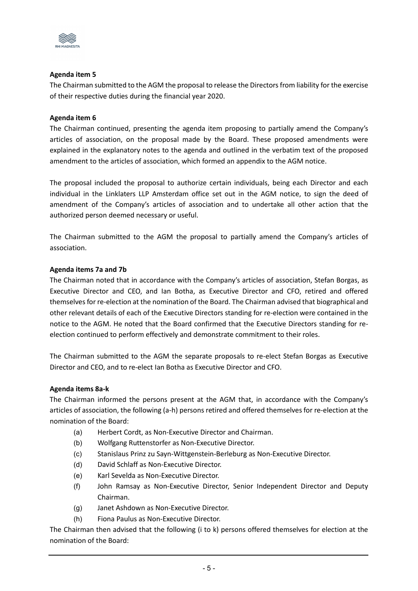

# **Agenda item 5**

The Chairman submitted to the AGM the proposal to release the Directors from liability for the exercise of their respective duties during the financial year 2020.

### **Agenda item 6**

The Chairman continued, presenting the agenda item proposing to partially amend the Company's articles of association, on the proposal made by the Board. These proposed amendments were explained in the explanatory notes to the agenda and outlined in the verbatim text of the proposed amendment to the articles of association, which formed an appendix to the AGM notice.

The proposal included the proposal to authorize certain individuals, being each Director and each individual in the Linklaters LLP Amsterdam office set out in the AGM notice, to sign the deed of amendment of the Company's articles of association and to undertake all other action that the authorized person deemed necessary or useful.

The Chairman submitted to the AGM the proposal to partially amend the Company's articles of association.

## **Agenda items 7a and 7b**

The Chairman noted that in accordance with the Company's articles of association, Stefan Borgas, as Executive Director and CEO, and Ian Botha, as Executive Director and CFO, retired and offered themselves for re-election at the nomination of the Board. The Chairman advised that biographical and other relevant details of each of the Executive Directors standing for re-election were contained in the notice to the AGM. He noted that the Board confirmed that the Executive Directors standing for reelection continued to perform effectively and demonstrate commitment to their roles.

The Chairman submitted to the AGM the separate proposals to re-elect Stefan Borgas as Executive Director and CEO, and to re-elect Ian Botha as Executive Director and CFO.

#### **Agenda items 8a-k**

The Chairman informed the persons present at the AGM that, in accordance with the Company's articles of association, the following (a-h) persons retired and offered themselves for re-election at the nomination of the Board:

- (a) Herbert Cordt, as Non-Executive Director and Chairman.
- (b) Wolfgang Ruttenstorfer as Non-Executive Director.
- (c) Stanislaus Prinz zu Sayn-Wittgenstein-Berleburg as Non-Executive Director.
- (d) David Schlaff as Non-Executive Director.
- (e) Karl Sevelda as Non-Executive Director.
- (f) John Ramsay as Non-Executive Director, Senior Independent Director and Deputy Chairman.
- (g) Janet Ashdown as Non-Executive Director.
- (h) Fiona Paulus as Non-Executive Director.

The Chairman then advised that the following (i to k) persons offered themselves for election at the nomination of the Board: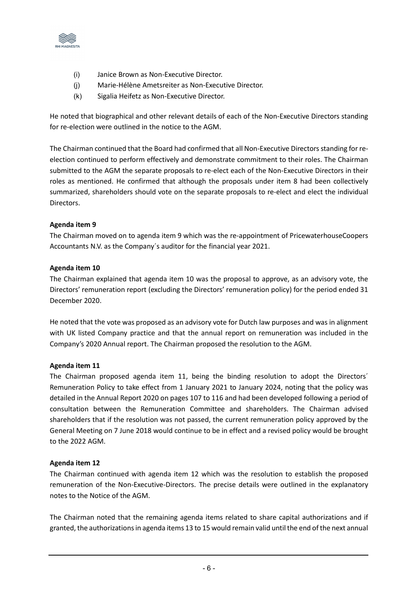

- (i) Janice Brown as Non-Executive Director.
- (j) Marie-Hélène Ametsreiter as Non-Executive Director.
- (k) Sigalia Heifetz as Non-Executive Director.

He noted that biographical and other relevant details of each of the Non-Executive Directors standing for re-election were outlined in the notice to the AGM.

The Chairman continued that the Board had confirmed that all Non-Executive Directors standing for reelection continued to perform effectively and demonstrate commitment to their roles. The Chairman submitted to the AGM the separate proposals to re-elect each of the Non-Executive Directors in their roles as mentioned. He confirmed that although the proposals under item 8 had been collectively summarized, shareholders should vote on the separate proposals to re-elect and elect the individual Directors.

# **Agenda item 9**

The Chairman moved on to agenda item 9 which was the re-appointment of PricewaterhouseCoopers Accountants N.V. as the Company´s auditor for the financial year 2021.

## **Agenda item 10**

The Chairman explained that agenda item 10 was the proposal to approve, as an advisory vote, the Directors' remuneration report (excluding the Directors' remuneration policy) for the period ended 31 December 2020.

He noted that the vote was proposed as an advisory vote for Dutch law purposes and was in alignment with UK listed Company practice and that the annual report on remuneration was included in the Company's 2020 Annual report. The Chairman proposed the resolution to the AGM.

#### **Agenda item 11**

The Chairman proposed agenda item 11, being the binding resolution to adopt the Directors´ Remuneration Policy to take effect from 1 January 2021 to January 2024, noting that the policy was detailed in the Annual Report 2020 on pages 107 to 116 and had been developed following a period of consultation between the Remuneration Committee and shareholders. The Chairman advised shareholders that if the resolution was not passed, the current remuneration policy approved by the General Meeting on 7 June 2018 would continue to be in effect and a revised policy would be brought to the 2022 AGM.

#### **Agenda item 12**

The Chairman continued with agenda item 12 which was the resolution to establish the proposed remuneration of the Non-Executive-Directors. The precise details were outlined in the explanatory notes to the Notice of the AGM.

The Chairman noted that the remaining agenda items related to share capital authorizations and if granted, the authorizations in agenda items 13 to 15 would remain valid until the end of the next annual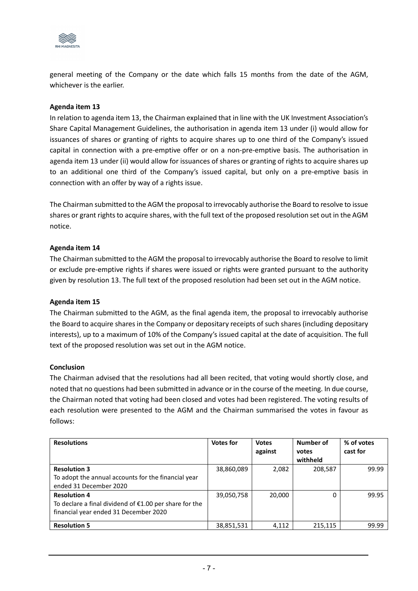

general meeting of the Company or the date which falls 15 months from the date of the AGM, whichever is the earlier.

### **Agenda item 13**

In relation to agenda item 13, the Chairman explained that in line with the UK Investment Association's Share Capital Management Guidelines, the authorisation in agenda item 13 under (i) would allow for issuances of shares or granting of rights to acquire shares up to one third of the Company's issued capital in connection with a pre-emptive offer or on a non-pre-emptive basis. The authorisation in agenda item 13 under (ii) would allow for issuances of shares or granting of rights to acquire shares up to an additional one third of the Company's issued capital, but only on a pre-emptive basis in connection with an offer by way of a rights issue.

The Chairman submitted to the AGM the proposal to irrevocably authorise the Board to resolve to issue shares or grant rights to acquire shares, with the full text of the proposed resolution set out in the AGM notice.

## **Agenda item 14**

The Chairman submitted to the AGM the proposal to irrevocably authorise the Board to resolve to limit or exclude pre-emptive rights if shares were issued or rights were granted pursuant to the authority given by resolution 13. The full text of the proposed resolution had been set out in the AGM notice.

#### **Agenda item 15**

The Chairman submitted to the AGM, as the final agenda item, the proposal to irrevocably authorise the Board to acquire shares in the Company or depositary receipts of such shares (including depositary interests), up to a maximum of 10% of the Company's issued capital at the date of acquisition. The full text of the proposed resolution was set out in the AGM notice.

#### **Conclusion**

The Chairman advised that the resolutions had all been recited, that voting would shortly close, and noted that no questions had been submitted in advance or in the course of the meeting. In due course, the Chairman noted that voting had been closed and votes had been registered. The voting results of each resolution were presented to the AGM and the Chairman summarised the votes in favour as follows:

| <b>Resolutions</b>                                       | <b>Votes for</b> | <b>Votes</b> | Number of | % of votes |
|----------------------------------------------------------|------------------|--------------|-----------|------------|
|                                                          |                  | against      | votes     | cast for   |
|                                                          |                  |              | withheld  |            |
| <b>Resolution 3</b>                                      | 38,860,089       | 2,082        | 208,587   | 99.99      |
| To adopt the annual accounts for the financial year      |                  |              |           |            |
| ended 31 December 2020                                   |                  |              |           |            |
| <b>Resolution 4</b>                                      | 39,050,758       | 20,000       |           | 99.95      |
| To declare a final dividend of $£1.00$ per share for the |                  |              |           |            |
| financial year ended 31 December 2020                    |                  |              |           |            |
|                                                          |                  |              |           |            |
| <b>Resolution 5</b>                                      | 38,851,531       | 4,112        | 215,115   | 99.99      |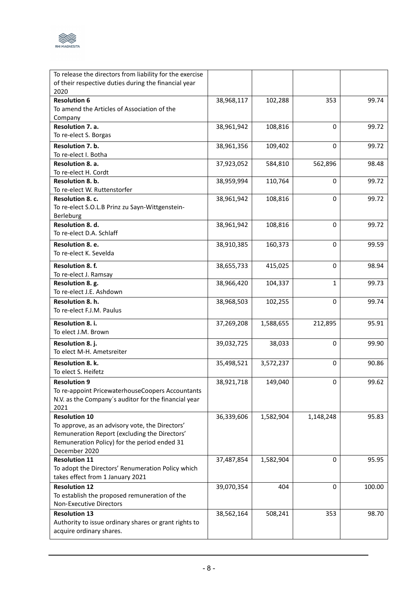

| To release the directors from liability for the exercise<br>of their respective duties during the financial year<br>2020                                                                  |            |           |              |        |
|-------------------------------------------------------------------------------------------------------------------------------------------------------------------------------------------|------------|-----------|--------------|--------|
| <b>Resolution 6</b><br>To amend the Articles of Association of the                                                                                                                        | 38,968,117 | 102,288   | 353          | 99.74  |
| Company<br>Resolution 7. a.<br>To re-elect S. Borgas                                                                                                                                      | 38,961,942 | 108,816   | 0            | 99.72  |
| <b>Resolution 7. b.</b><br>To re-elect I. Botha                                                                                                                                           | 38,961,356 | 109,402   | 0            | 99.72  |
| Resolution 8. a.<br>To re-elect H. Cordt                                                                                                                                                  | 37,923,052 | 584,810   | 562,896      | 98.48  |
| Resolution 8. b.<br>To re-elect W. Ruttenstorfer                                                                                                                                          | 38,959,994 | 110,764   | 0            | 99.72  |
| Resolution 8. c.<br>To re-elect S.O.L.B Prinz zu Sayn-Wittgenstein-<br>Berleburg                                                                                                          | 38,961,942 | 108,816   | 0            | 99.72  |
| Resolution 8. d.<br>To re-elect D.A. Schlaff                                                                                                                                              | 38,961,942 | 108,816   | $\Omega$     | 99.72  |
| Resolution 8. e.<br>To re-elect K. Sevelda                                                                                                                                                | 38,910,385 | 160,373   | 0            | 99.59  |
| Resolution 8. f.<br>To re-elect J. Ramsay                                                                                                                                                 | 38,655,733 | 415,025   | 0            | 98.94  |
| Resolution 8. g.<br>To re-elect J.E. Ashdown                                                                                                                                              | 38,966,420 | 104,337   | $\mathbf{1}$ | 99.73  |
| Resolution 8. h.<br>To re-elect F.J.M. Paulus                                                                                                                                             | 38,968,503 | 102,255   | 0            | 99.74  |
| Resolution 8. i.<br>To elect J.M. Brown                                                                                                                                                   | 37,269,208 | 1,588,655 | 212,895      | 95.91  |
| Resolution 8.j.<br>To elect M-H. Ametsreiter                                                                                                                                              | 39,032,725 | 38,033    | 0            | 99.90  |
| Resolution 8. k.<br>To elect S. Heifetz                                                                                                                                                   | 35,498,521 | 3,572,237 | 0            | 90.86  |
| <b>Resolution 9</b><br>To re-appoint PricewaterhouseCoopers Accountants<br>N.V. as the Company's auditor for the financial year<br>2021                                                   | 38,921,718 | 149,040   | 0            | 99.62  |
| <b>Resolution 10</b><br>To approve, as an advisory vote, the Directors'<br>Remuneration Report (excluding the Directors'<br>Remuneration Policy) for the period ended 31<br>December 2020 | 36,339,606 | 1,582,904 | 1,148,248    | 95.83  |
| <b>Resolution 11</b><br>To adopt the Directors' Renumeration Policy which<br>takes effect from 1 January 2021                                                                             | 37,487,854 | 1,582,904 | 0            | 95.95  |
| <b>Resolution 12</b><br>To establish the proposed remuneration of the<br>Non-Executive Directors                                                                                          | 39,070,354 | 404       | 0            | 100.00 |
| <b>Resolution 13</b><br>Authority to issue ordinary shares or grant rights to<br>acquire ordinary shares.                                                                                 | 38,562,164 | 508,241   | 353          | 98.70  |